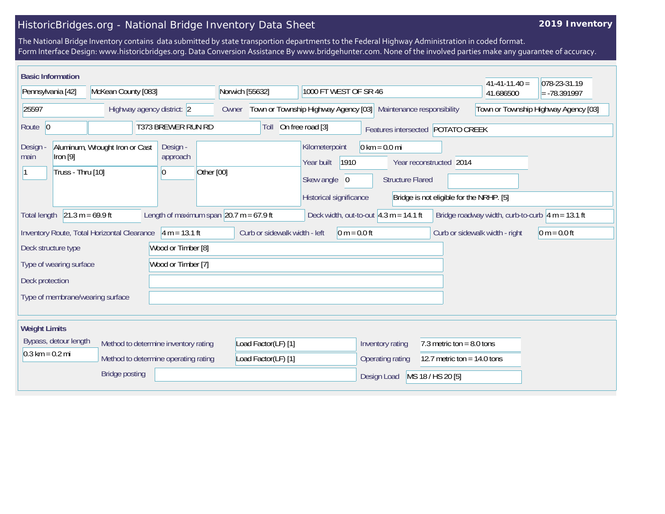## HistoricBridges.org - National Bridge Inventory Data Sheet

## **2019 Inventory**

The National Bridge Inventory contains data submitted by state transportion departments to the Federal Highway Administration in coded format. Form Interface Design: www.historicbridges.org. Data Conversion Assistance By www.bridgehunter.com. None of the involved parties make any guarantee of accuracy.

| <b>Basic Information</b>                                                                                                                                                                              |                                             |                            |                                                                    |                                                                                 |                                                            |                                                                     | $41 - 41 - 11.40 =$            | 078-23-31.19   |
|-------------------------------------------------------------------------------------------------------------------------------------------------------------------------------------------------------|---------------------------------------------|----------------------------|--------------------------------------------------------------------|---------------------------------------------------------------------------------|------------------------------------------------------------|---------------------------------------------------------------------|--------------------------------|----------------|
| Pennsylvania [42]<br>McKean County [083]                                                                                                                                                              |                                             | Norwich [55632]            | 1000 FT WEST OF SR 46                                              |                                                                                 |                                                            |                                                                     | $= -78.391997$                 |                |
| 25597<br>Highway agency district: 2                                                                                                                                                                   |                                             | Owner                      | Town or Township Highway Agency [03]<br>Maintenance responsibility |                                                                                 |                                                            | Town or Township Highway Agency [03]                                |                                |                |
| Route 0                                                                                                                                                                                               | T373 BREWER RUN RD                          |                            |                                                                    | On free road [3]<br>Toll<br>Features intersected POTATO CREEK                   |                                                            |                                                                     |                                |                |
| Design<br>main<br>$[1$ ron $[9]$<br>Truss - Thru [10]                                                                                                                                                 | Aluminum, Wrought Iron or Cast              | Design -<br>approach<br>10 | Other [00]                                                         | Kilometerpoint<br>1910<br>Year built<br>Skew angle 0<br>Historical significance | $0 \text{ km} = 0.0 \text{ mi}$<br><b>Structure Flared</b> | Year reconstructed 2014<br>Bridge is not eligible for the NRHP. [5] |                                |                |
| $21.3 m = 69.9 ft$<br>Length of maximum span $\left 20.7\right $ m = 67.9 ft<br>Bridge roadway width, curb-to-curb $\sqrt{4}$ m = 13.1 ft<br>Deck width, out-to-out $4.3$ m = 14.1 ft<br>Total length |                                             |                            |                                                                    |                                                                                 |                                                            |                                                                     |                                |                |
|                                                                                                                                                                                                       | Inventory Route, Total Horizontal Clearance | $4 m = 13.1 ft$            | Curb or sidewalk width - left                                      | $0 m = 0.0 ft$                                                                  |                                                            |                                                                     | Curb or sidewalk width - right | $0 m = 0.0 ft$ |
| Deck structure type                                                                                                                                                                                   |                                             | Wood or Timber [8]         |                                                                    |                                                                                 |                                                            |                                                                     |                                |                |
| Wood or Timber [7]<br>Type of wearing surface                                                                                                                                                         |                                             |                            |                                                                    |                                                                                 |                                                            |                                                                     |                                |                |
| Deck protection                                                                                                                                                                                       |                                             |                            |                                                                    |                                                                                 |                                                            |                                                                     |                                |                |
| Type of membrane/wearing surface                                                                                                                                                                      |                                             |                            |                                                                    |                                                                                 |                                                            |                                                                     |                                |                |
| <b>Weight Limits</b>                                                                                                                                                                                  |                                             |                            |                                                                    |                                                                                 |                                                            |                                                                     |                                |                |
| Bypass, detour length                                                                                                                                                                                 | Method to determine inventory rating        |                            | Load Factor(LF) [1]                                                |                                                                                 | Inventory rating                                           | 7.3 metric ton = $8.0$ tons                                         |                                |                |
| $0.3 \text{ km} = 0.2 \text{ mi}$                                                                                                                                                                     | Method to determine operating rating        |                            | Load Factor(LF) [1]                                                |                                                                                 | Operating rating                                           | 12.7 metric ton = $14.0$ tons                                       |                                |                |
|                                                                                                                                                                                                       | <b>Bridge posting</b>                       |                            |                                                                    |                                                                                 | Design Load                                                | MS 18 / HS 20 [5]                                                   |                                |                |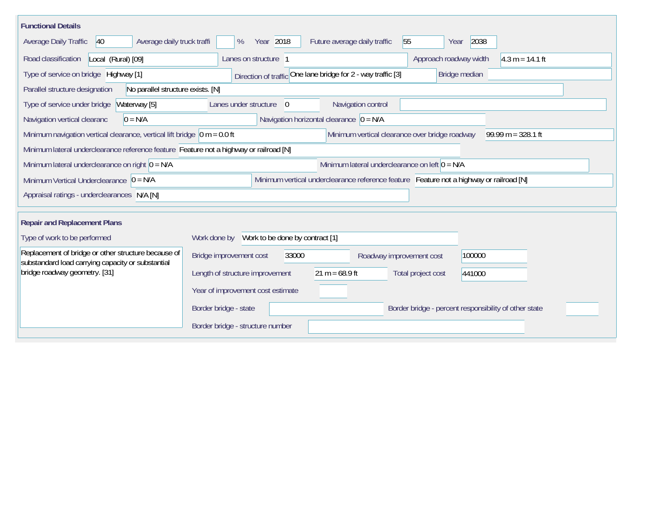| <b>Functional Details</b>                                                                                                              |                                                                                     |  |  |  |  |  |  |  |
|----------------------------------------------------------------------------------------------------------------------------------------|-------------------------------------------------------------------------------------|--|--|--|--|--|--|--|
| Average daily truck traffi<br><b>Average Daily Traffic</b><br>40                                                                       | Year 2018<br>55<br>2038<br>Future average daily traffic<br>$\%$<br>Year             |  |  |  |  |  |  |  |
| Road classification<br>Local (Rural) [09]                                                                                              | Approach roadway width<br>$4.3 m = 14.1 ft$<br>Lanes on structure                   |  |  |  |  |  |  |  |
| Type of service on bridge Highway [1]                                                                                                  | Direction of traffic One lane bridge for 2 - way traffic [3]<br>Bridge median       |  |  |  |  |  |  |  |
| No parallel structure exists. [N]<br>Parallel structure designation                                                                    |                                                                                     |  |  |  |  |  |  |  |
| Type of service under bridge<br>Waterway [5]                                                                                           | Navigation control<br>Lanes under structure<br>$\overline{0}$                       |  |  |  |  |  |  |  |
| $0 = N/A$<br>Navigation vertical clearanc                                                                                              | Navigation horizontal clearance $\vert 0 = N/A \vert$                               |  |  |  |  |  |  |  |
| Minimum navigation vertical clearance, vertical lift bridge $\vert$ 0 m = 0.0 ft                                                       | Minimum vertical clearance over bridge roadway<br>$99.99 m = 328.1 ft$              |  |  |  |  |  |  |  |
| Minimum lateral underclearance reference feature Feature not a highway or railroad [N]                                                 |                                                                                     |  |  |  |  |  |  |  |
| Minimum lateral underclearance on right $0 = N/A$                                                                                      | Minimum lateral underclearance on left $0 = N/A$                                    |  |  |  |  |  |  |  |
| Minimum Vertical Underclearance $ 0 = N/A $<br>Minimum vertical underclearance reference feature Feature not a highway or railroad [N] |                                                                                     |  |  |  |  |  |  |  |
| Appraisal ratings - underclearances N/A [N]                                                                                            |                                                                                     |  |  |  |  |  |  |  |
|                                                                                                                                        |                                                                                     |  |  |  |  |  |  |  |
| <b>Repair and Replacement Plans</b>                                                                                                    |                                                                                     |  |  |  |  |  |  |  |
| Type of work to be performed                                                                                                           | Work done by Work to be done by contract [1]                                        |  |  |  |  |  |  |  |
| Replacement of bridge or other structure because of<br>substandard load carrying capacity or substantial                               | Bridge improvement cost<br>100000<br>33000<br>Roadway improvement cost              |  |  |  |  |  |  |  |
| bridge roadway geometry. [31]                                                                                                          | $21 m = 68.9 ft$<br>Length of structure improvement<br>Total project cost<br>441000 |  |  |  |  |  |  |  |
|                                                                                                                                        | Year of improvement cost estimate                                                   |  |  |  |  |  |  |  |
|                                                                                                                                        | Border bridge - state<br>Border bridge - percent responsibility of other state      |  |  |  |  |  |  |  |
|                                                                                                                                        | Border bridge - structure number                                                    |  |  |  |  |  |  |  |